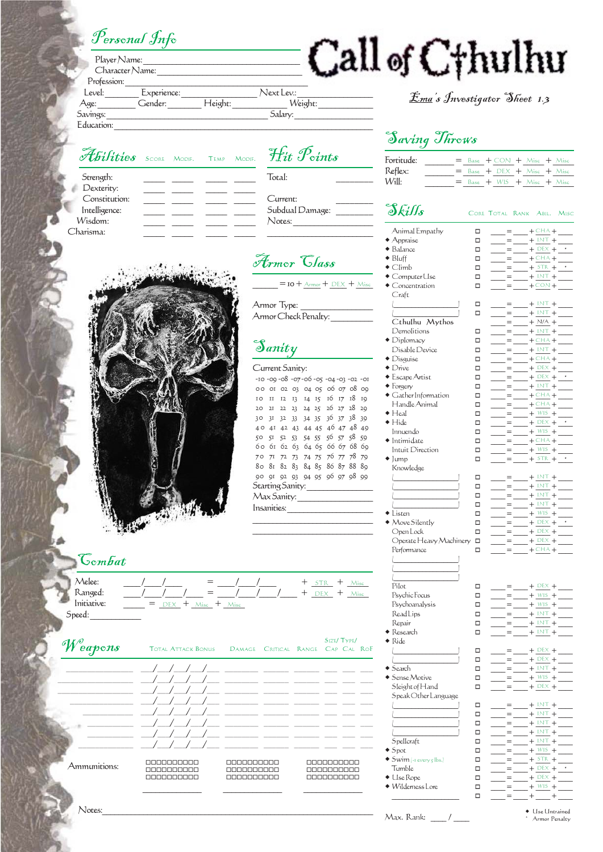## Personal Info

Strength: Dexterity: Constitution: Intelligence: \_\_\_\_\_ \_\_\_\_\_ \_\_\_\_\_ \_\_\_\_\_ Wisdom: Charisma:

| Player Name: |                 |         |            |         |
|--------------|-----------------|---------|------------|---------|
|              | Character Name: |         |            |         |
| Profession:  |                 |         |            |         |
| Level:       | Experience:     |         | Next Lev.: |         |
| Age:         | Gender:         | Height: |            | Weight: |
| Savings:     |                 |         | Salary:    |         |
| Education:   |                 |         |            |         |

### Abilities SCORE MODIF. TEMP MODIF. Total:

# Hit Points

Current: Subdual Damage: Notes:

 $=$  10 +  $_{\text{Armor}}$  +  $_{\text{DEX}}$  +  $_{\text{Misc}}$ 

### Current Sanity: -10 -09 -08 -07-06 -05 -04-03 -02 -01 00 01 02 03 04 05 06 07 08 09 10 11 12 13 14 15 16 17 18 19 20 21 22 23 24 25 26 27 28 29 30 31 32 33 34 35 36 37 38 39 40 41 42 43 44 45 46 47 48 49 50 51 52 53 54 55 56 57 58 59 60 61 62 63 64 65 66 67 68 69 70 71 72 73 74 75 76 77 78 79 80 81 82 83 84 85 86 87 88 89 90 91 92 93 94 95 96 97 98 99 Starting Sanity:

# Armor Class

Armor Type:

Armor Check Penalty:

## Sanity

 $($  $($  $($ 

- 
- $\bullet$  Research  $\Box$  $\bullet$  Ride
- 
- $\bullet$  Search  $\Box$  $\bullet$  Sense Motive  $\Box$  $S$ leight of Hand  $\Box$ Speak Other Language
- 
- $S$ pellcraft  $\square$  $\bullet$  Spot
- $\bullet$  Swim  $\left| \cdot \right|$  every  $\varsigma$  [bs.]
- $Tumble$   $\Box$
- $\bullet$  Lise Rope  $\Box$
- $\bullet$  Wilderness Lore  $\Box$ \_\_\_\_\_\_\_\_\_\_\_\_\_\_\_\_\_\_\_ \_\_\_\_ = \_\_\_\_ + \_\_\_\_ + \_\_\_\_

[Ema](http://www.emass-web.com/)'s Investigator Sheet 1.3

\* \*

\*

\*

\*

\*

### Saving Throws

Call of Cthulhu

| Fortitude: |  |  | $=$ Base $+$ CON $+$ Misc $+$ Misc |  |  |
|------------|--|--|------------------------------------|--|--|
| Reflex:    |  |  | $=$ Base $+$ DEX $+$ Misc $+$ Misc |  |  |
| Will:      |  |  | $=$ Base $+$ WIS $+$ Misc $+$ Misc |  |  |

### Skills CORE TOTAL RANK ABIL. MISC Animal Empathy  $\qquad \qquad \Box$  Appraise \_\_\_\_ = \_\_\_\_ + \_\_\_\_ + \_\_\_\_  $\begin{array}{ccc} \bullet & \bullet & \bullet \\ \bullet & \bullet & \bullet \\ \bullet & \bullet & \bullet \end{array}$  $\bullet$  Bluff  $\qquad \qquad \Box$  =  $+$  CHA +  $\bullet$  Climb  $\Box$  $\bullet$  Computer Use  $\qquad \qquad \Box$  $\bullet$  Concentration  $\Box$ Craft  $\Box$   $\Box$  =  $\Box$  +  $\Box$  +  $\Box$  $\Box$   $\Box$  =  $\Box$  +  $\Box$  +  $\Box$ Cthulhu Mythos Demolitions \_\_\_\_ = \_\_\_\_ + \_\_\_\_ + \_\_\_\_  $\begin{array}{c}\n\bullet \text{ Diplomacy} \\
\text{Disable Device}\n\end{array}$  $D$ isable Device  $\Box$ <br>Disquise  $\Box$  $\blacklozenge$   $\Box$ isquise  $\bullet$  Drive  $\Box$   $\Box$  =  $\Box$  +  $\Box$  +  $\Box$  Escape Artist \_\_\_\_ = \_\_\_\_ + \_\_\_\_ + \_\_\_\_ Forgery \_\_\_\_ = \_\_\_\_ + \_\_\_\_ + \_\_\_\_  $\bullet$  Gather Information  $\Box$ <br>Handle Animal Handle Animal<br>  $\bullet$  Heal  $\blacklozenge$  Heal  $\Box$  =  $+$  WIS +  $\blacklozenge$  Hide  $\Box$  =  $\Box$  +  $\Box$  +  $\Box$ Innuendo □<br>Intimidate □  $\blacklozenge$  Intimidate Intuit Direction  $\Box$  $\bullet$  Jump  $\Box$  =  $+$   $\angle$  5TR +  $\cdot$ Knowledge  $\Box$   $\Box$  =  $\Box$  +  $\Box$  +  $\Box$  $\begin{pmatrix} \begin{array}{cccc} \end{array} & \begin{array}{cccc} \end{array} & \square & \square & \end{pmatrix} & = & + \text{INT} + \end{pmatrix}$  $\begin{array}{ccccccc} \vert & & & & \vert & \vert & \square & & \square & & \equiv & + \text{ INT} + \end{array}$  $\begin{pmatrix} \begin{array}{cccc} \end{array} & \begin{array}{cccc} \end{array} & \square & \square & \end{pmatrix} & = & + \text{INT} + \end{pmatrix}$  $\overline{\bullet}$  Listen  $\Box$  $\text{MoveSilently}$   $\Box$  $OpenLock \qquad \qquad \Box$ Operate Heavy Machinery  $\square$ Performance  $\Box$ Pilot  $\Box$  =  $+$  DEX +  $P_{\text{ex}}$ chic Focus  $\Box$  $Psychoanalysis$   $ReadLips$   $\Box$ Read Lips Repair  $\Box$  =  $+$   $\Box$  +  $+$ CHA $+$  $+$  INT  $+$  DEX  $+$  $+$  STR  $+$  $+$  INT  $+$  $+$  CON +  $+$  N/A  $+$  $+1NT$  $+CHA$  $+$  INT  $+CHA +$  $+$  DEX DEX  $+$  INT  $+$  CHA  $+$ CHA $+$  $+$  DEX  $+$  W<sub>IS</sub>  $+$  CHA +  $+$  WIS  $+$  $+$  INT  $+ \overline{W}$  $+$  DEX +  $+$  DEX  $+$  $+$  DEX  $+$  CHA $+$  $+$  WIS +  $+\overline{W}$ <sub>WIS</sub>  $+\overline{1NT}$  +



 Use Untrained Armor Penalty

|                                                             |             | 60 61 62 63 64 65 66 67 68 69<br>70 71 72 73 74 75 76 77 78 79<br>80 81 82 83 84 85 86 87 88 89 |  |  |  |                    |  |
|-------------------------------------------------------------|-------------|-------------------------------------------------------------------------------------------------|--|--|--|--------------------|--|
|                                                             |             | 90 91 92 93 94 95 96 97 98 99<br>Starting Sanity:<br>Max Sanity:<br>Insanities:                 |  |  |  |                    |  |
| Combat<br>Melee:                                            | $=$ $/$ $/$ |                                                                                                 |  |  |  | $+$ $STR$ + $Misc$ |  |
| Ranged:<br>Initiative:<br>$=$ DEX $+$ Misc $+$ Misc<br>eed: |             | $\left/ \quad \right/ \quad +$ DEX + Misc                                                       |  |  |  |                    |  |

 $W_{\text{parto}}^{\text{S}}$   $W_{\text{parto}}^{\text{S}}$   $W_{\text{parto}}^{\text{S}}$   $W_{\text{parto}}^{\text{S}}$   $W_{\text{maxo}}^{\text{S}}$   $W_{\text{maxo}}^{\text{S}}$   $W_{\text{maxo}}^{\text{S}}$   $W_{\text{maxo}}^{\text{S}}$   $W_{\text{maxo}}^{\text{S}}$   $W_{\text{maxo}}^{\text{S}}$   $W_{\text{maxo}}^{\text{S}}$   $W_{\text{maxo}}^{\text{S}}$   $W_{\text{maxo}}^{\text{S}}$ 

Speed:

**Weapons** Total Attack Bonus Damage Critical Range Cap Cal Rof

\_\_\_\_\_\_\_\_\_ \_\_/\_\_/\_\_/\_\_/\_\_\_\_ \_\_\_\_\_ \_\_\_\_\_ \_\_\_\_\_ \_\_\_\_ \_\_\_\_ \_\_\_ \_\_\_\_\_\_\_\_ \_\_/\_\_/\_\_/\_\_\_/ \_\_\_\_\_ \_\_\_\_\_ \_\_\_\_\_ \_\_\_\_ \_\_\_\_ \_\_\_ \_\_\_\_\_\_\_\_\_\_ \_\_/\_\_/\_\_/\_\_/\_\_\_\_ \_\_\_\_\_ \_\_\_\_\_ \_\_\_\_\_ \_\_\_\_ \_\_\_\_ \_\_\_

Ammunitions:

----------------------000000000

\_\_\_\_\_\_\_\_\_\_ \_\_/\_\_/\_\_/\_\_\_\_ \_\_\_\_\_\_ \_\_\_\_\_ \_\_\_\_\_ \_\_\_\_\_ \_\_\_\_ \_\_\_\_\_\_\_\_\_\_\_\_\_\_\_\_\_\_ \_\_\_/\_\_\_/\_\_\_/\_\_\_/\_\_\_ \_\_\_\_\_\_\_\_ \_\_\_\_\_\_ \_\_\_\_\_\_ \_\_\_ \_\_\_ \_\_\_ \_\_\_\_\_\_\_\_\_\_\_\_\_\_\_\_\_\_ \_\_\_/\_\_\_/\_\_\_/\_\_\_/\_\_\_ \_\_\_\_\_\_\_\_ \_\_\_\_\_\_ \_\_\_\_\_\_ \_\_\_ \_\_\_ \_\_\_ \_\_\_\_\_\_\_\_\_\_ \_\_/\_\_/\_\_/\_\_\_/ \_\_\_\_\_ \_\_\_\_\_ \_\_\_\_\_ \_\_\_\_ \_\_\_ \_\_\_ \_\_\_\_\_\_\_\_ \_\_/\_\_/\_\_/\_\_\_\_ \_\_\_\_\_ \_\_\_\_\_ \_\_\_\_ \_\_\_\_ \_\_\_

> ----------------------000000000

------------------------------

 $N$ otes:  $\blacksquare$ 

Max. Rank: \_\_\_\_ / \_\_\_\_